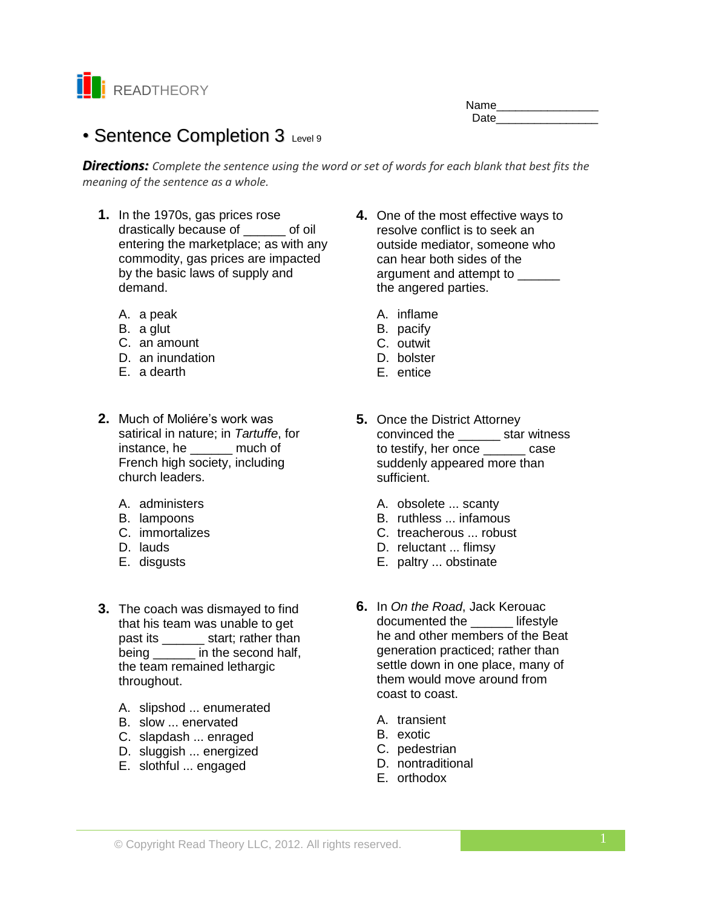

| Name |  |
|------|--|
| Date |  |

# • Sentence Completion 3 Level 9

*Directions: Complete the sentence using the word or set of words for each blank that best fits the meaning of the sentence as a whole.*

- **1.** In the 1970s, gas prices rose drastically because of  $\qquad$  of oil entering the marketplace; as with any commodity, gas prices are impacted by the basic laws of supply and demand.
	- A. a peak
	- B. a glut
	- C. an amount
	- D. an inundation
	- E. a dearth
- **2.** Much of Moliére's work was satirical in nature; in *Tartuffe*, for instance, he \_\_\_\_\_\_ much of French high society, including church leaders.
	- A. administers
	- B. lampoons
	- C. immortalizes
	- D. lauds
	- E. disgusts
- **3.** The coach was dismayed to find that his team was unable to get past its \_\_\_\_\_\_\_ start; rather than being in the second half, the team remained lethargic throughout.
	- A. slipshod ... enumerated
	- B. slow ... enervated
	- C. slapdash ... enraged
	- D. sluggish ... energized
	- E. slothful ... engaged
- **4.** One of the most effective ways to resolve conflict is to seek an outside mediator, someone who can hear both sides of the argument and attempt to the angered parties.
	- A. inflame
	- B. pacify
	- C. outwit
	- D. bolster
	- E. entice
- **5.** Once the District Attorney convinced the \_\_\_\_\_\_ star witness to testify, her once case suddenly appeared more than sufficient.
	- A. obsolete ... scanty
	- B. ruthless ... infamous
	- C. treacherous ... robust
	- D. reluctant ... flimsy
	- E. paltry ... obstinate
- **6.** In *On the Road*, Jack Kerouac documented the **lifestyle** he and other members of the Beat generation practiced; rather than settle down in one place, many of them would move around from coast to coast.
	- A. transient
	- B. exotic
	- C. pedestrian
	- D. nontraditional
	- E. orthodox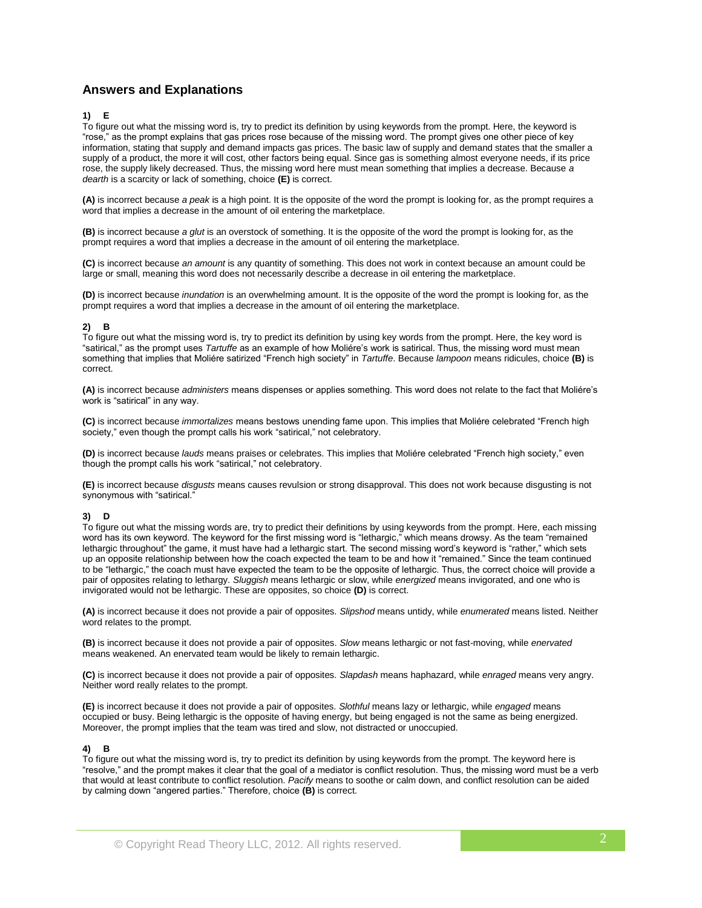# **Answers and Explanations**

## **1) E**

To figure out what the missing word is, try to predict its definition by using keywords from the prompt. Here, the keyword is "rose," as the prompt explains that gas prices rose because of the missing word. The prompt gives one other piece of key information, stating that supply and demand impacts gas prices. The basic law of supply and demand states that the smaller a supply of a product, the more it will cost, other factors being equal. Since gas is something almost everyone needs, if its price rose, the supply likely decreased. Thus, the missing word here must mean something that implies a decrease. Because *a dearth* is a scarcity or lack of something, choice **(E)** is correct.

**(A)** is incorrect because *a peak* is a high point. It is the opposite of the word the prompt is looking for, as the prompt requires a word that implies a decrease in the amount of oil entering the marketplace.

**(B)** is incorrect because *a glut* is an overstock of something. It is the opposite of the word the prompt is looking for, as the prompt requires a word that implies a decrease in the amount of oil entering the marketplace.

**(C)** is incorrect because *an amount* is any quantity of something. This does not work in context because an amount could be large or small, meaning this word does not necessarily describe a decrease in oil entering the marketplace.

**(D)** is incorrect because *inundation* is an overwhelming amount. It is the opposite of the word the prompt is looking for, as the prompt requires a word that implies a decrease in the amount of oil entering the marketplace.

### **2) B**

To figure out what the missing word is, try to predict its definition by using key words from the prompt. Here, the key word is "satirical," as the prompt uses *Tartuffe* as an example of how Moliére's work is satirical. Thus, the missing word must mean something that implies that Moliére satirized "French high society" in *Tartuffe*. Because *lampoon* means ridicules, choice **(B)** is correct.

**(A)** is incorrect because *administers* means dispenses or applies something. This word does not relate to the fact that Moliére's work is "satirical" in any way.

**(C)** is incorrect because *immortalizes* means bestows unending fame upon. This implies that Moliére celebrated "French high society," even though the prompt calls his work "satirical," not celebratory.

**(D)** is incorrect because *lauds* means praises or celebrates. This implies that Moliére celebrated "French high society," even though the prompt calls his work "satirical," not celebratory.

**(E)** is incorrect because *disgusts* means causes revulsion or strong disapproval. This does not work because disgusting is not synonymous with "satirical."

### **3) D**

To figure out what the missing words are, try to predict their definitions by using keywords from the prompt. Here, each missing word has its own keyword. The keyword for the first missing word is "lethargic," which means drowsy. As the team "remained lethargic throughout" the game, it must have had a lethargic start. The second missing word's keyword is "rather," which sets up an opposite relationship between how the coach expected the team to be and how it "remained." Since the team continued to be "lethargic," the coach must have expected the team to be the opposite of lethargic. Thus, the correct choice will provide a pair of opposites relating to lethargy. *Sluggish* means lethargic or slow, while *energized* means invigorated, and one who is invigorated would not be lethargic. These are opposites, so choice **(D)** is correct.

**(A)** is incorrect because it does not provide a pair of opposites. *Slipshod* means untidy, while *enumerated* means listed. Neither word relates to the prompt.

**(B)** is incorrect because it does not provide a pair of opposites. *Slow* means lethargic or not fast-moving, while *enervated*  means weakened. An enervated team would be likely to remain lethargic.

**(C)** is incorrect because it does not provide a pair of opposites*. Slapdash* means haphazard, while *enraged* means very angry. Neither word really relates to the prompt.

**(E)** is incorrect because it does not provide a pair of opposites. *Slothful* means lazy or lethargic, while *engaged* means occupied or busy. Being lethargic is the opposite of having energy, but being engaged is not the same as being energized. Moreover, the prompt implies that the team was tired and slow, not distracted or unoccupied.

### **4) B**

To figure out what the missing word is, try to predict its definition by using keywords from the prompt. The keyword here is "resolve," and the prompt makes it clear that the goal of a mediator is conflict resolution. Thus, the missing word must be a verb that would at least contribute to conflict resolution. *Pacify* means to soothe or calm down, and conflict resolution can be aided by calming down "angered parties." Therefore, choice **(B)** is correct.